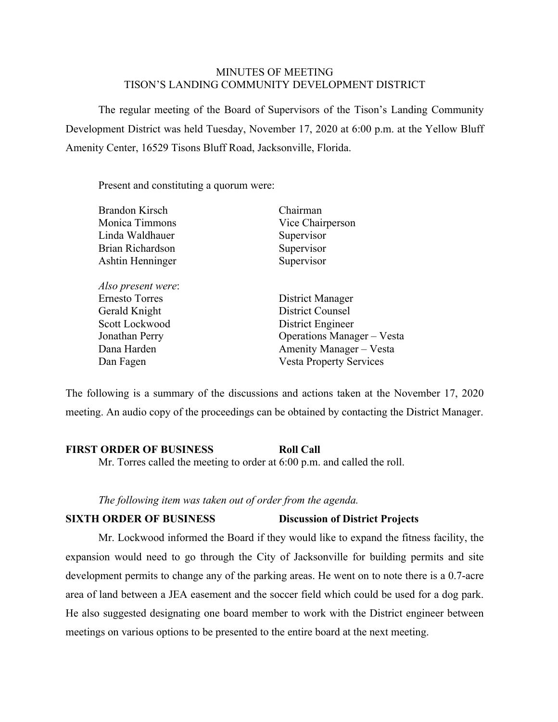#### MINUTES OF MEETING TISON'S LANDING COMMUNITY DEVELOPMENT DISTRICT

The regular meeting of the Board of Supervisors of the Tison's Landing Community Development District was held Tuesday, November 17, 2020 at 6:00 p.m. at the Yellow Bluff Amenity Center, 16529 Tisons Bluff Road, Jacksonville, Florida.

Present and constituting a quorum were:

| <b>Brandon Kirsch</b> | Chairman                       |
|-----------------------|--------------------------------|
| Monica Timmons        | Vice Chairperson               |
| Linda Waldhauer       | Supervisor                     |
| Brian Richardson      | Supervisor                     |
| Ashtin Henninger      | Supervisor                     |
| Also present were:    |                                |
| Ernesto Torres        | District Manager               |
| Gerald Knight         | <b>District Counsel</b>        |
| Scott Lockwood        | District Engineer              |
| Jonathan Perry        | Operations Manager - Vesta     |
| Dana Harden           | Amenity Manager - Vesta        |
| Dan Fagen             | <b>Vesta Property Services</b> |
|                       |                                |

The following is a summary of the discussions and actions taken at the November 17, 2020 meeting. An audio copy of the proceedings can be obtained by contacting the District Manager.

#### **FIRST ORDER OF BUSINESS Roll Call**

Mr. Torres called the meeting to order at 6:00 p.m. and called the roll.

#### *The following item was taken out of order from the agenda.*

#### **SIXTH ORDER OF BUSINESS Discussion of District Projects**

Mr. Lockwood informed the Board if they would like to expand the fitness facility, the expansion would need to go through the City of Jacksonville for building permits and site development permits to change any of the parking areas. He went on to note there is a 0.7-acre area of land between a JEA easement and the soccer field which could be used for a dog park. He also suggested designating one board member to work with the District engineer between meetings on various options to be presented to the entire board at the next meeting.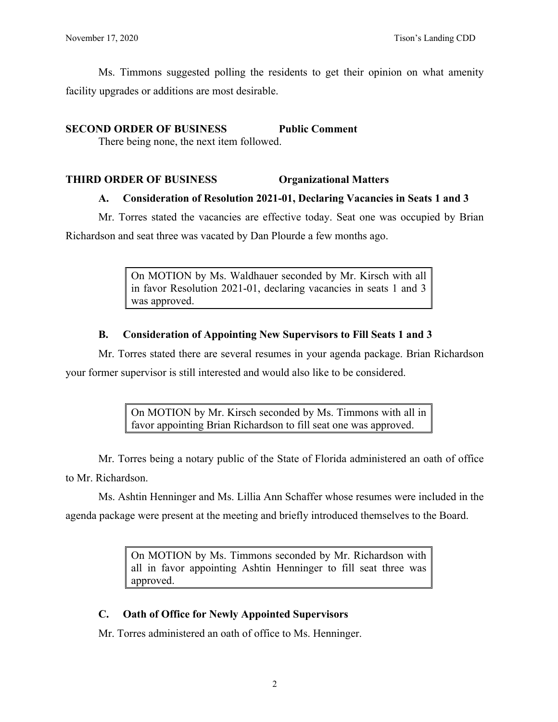Ms. Timmons suggested polling the residents to get their opinion on what amenity facility upgrades or additions are most desirable.

## **SECOND ORDER OF BUSINESS Public Comment**

There being none, the next item followed.

# **THIRD ORDER OF BUSINESS Organizational Matters**

# **A. Consideration of Resolution 2021-01, Declaring Vacancies in Seats 1 and 3**

Mr. Torres stated the vacancies are effective today. Seat one was occupied by Brian

Richardson and seat three was vacated by Dan Plourde a few months ago.

On MOTION by Ms. Waldhauer seconded by Mr. Kirsch with all in favor Resolution 2021-01, declaring vacancies in seats 1 and 3 was approved.

# **B. Consideration of Appointing New Supervisors to Fill Seats 1 and 3**

Mr. Torres stated there are several resumes in your agenda package. Brian Richardson your former supervisor is still interested and would also like to be considered.

> On MOTION by Mr. Kirsch seconded by Ms. Timmons with all in favor appointing Brian Richardson to fill seat one was approved.

Mr. Torres being a notary public of the State of Florida administered an oath of office to Mr. Richardson.

Ms. Ashtin Henninger and Ms. Lillia Ann Schaffer whose resumes were included in the agenda package were present at the meeting and briefly introduced themselves to the Board.

> On MOTION by Ms. Timmons seconded by Mr. Richardson with all in favor appointing Ashtin Henninger to fill seat three was approved.

# **C. Oath of Office for Newly Appointed Supervisors**

Mr. Torres administered an oath of office to Ms. Henninger.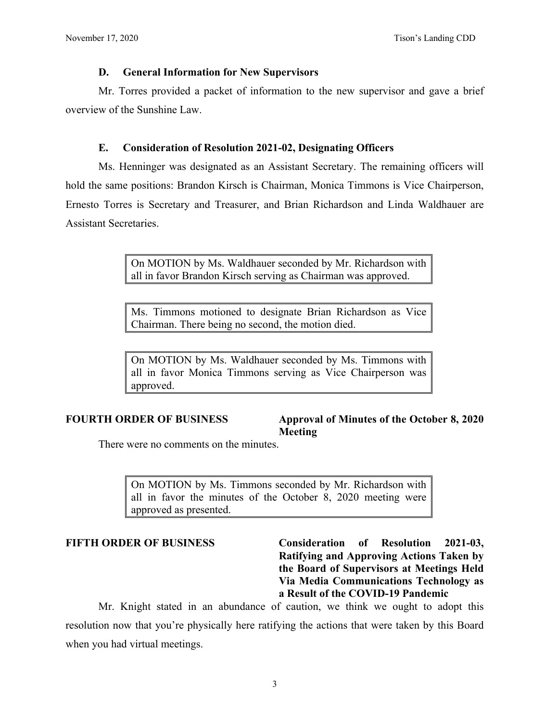#### **D. General Information for New Supervisors**

Mr. Torres provided a packet of information to the new supervisor and gave a brief overview of the Sunshine Law.

#### **E. Consideration of Resolution 2021-02, Designating Officers**

Ms. Henninger was designated as an Assistant Secretary. The remaining officers will hold the same positions: Brandon Kirsch is Chairman, Monica Timmons is Vice Chairperson, Ernesto Torres is Secretary and Treasurer, and Brian Richardson and Linda Waldhauer are Assistant Secretaries.

> On MOTION by Ms. Waldhauer seconded by Mr. Richardson with all in favor Brandon Kirsch serving as Chairman was approved.

> Ms. Timmons motioned to designate Brian Richardson as Vice Chairman. There being no second, the motion died.

> On MOTION by Ms. Waldhauer seconded by Ms. Timmons with all in favor Monica Timmons serving as Vice Chairperson was approved.

#### **FOURTH ORDER OF BUSINESS Approval of Minutes of the October 8, 2020 Meeting**

There were no comments on the minutes.

On MOTION by Ms. Timmons seconded by Mr. Richardson with all in favor the minutes of the October 8, 2020 meeting were approved as presented.

**FIFTH ORDER OF BUSINESS Consideration of Resolution 2021-03, Ratifying and Approving Actions Taken by the Board of Supervisors at Meetings Held Via Media Communications Technology as a Result of the COVID-19 Pandemic**

Mr. Knight stated in an abundance of caution, we think we ought to adopt this resolution now that you're physically here ratifying the actions that were taken by this Board when you had virtual meetings.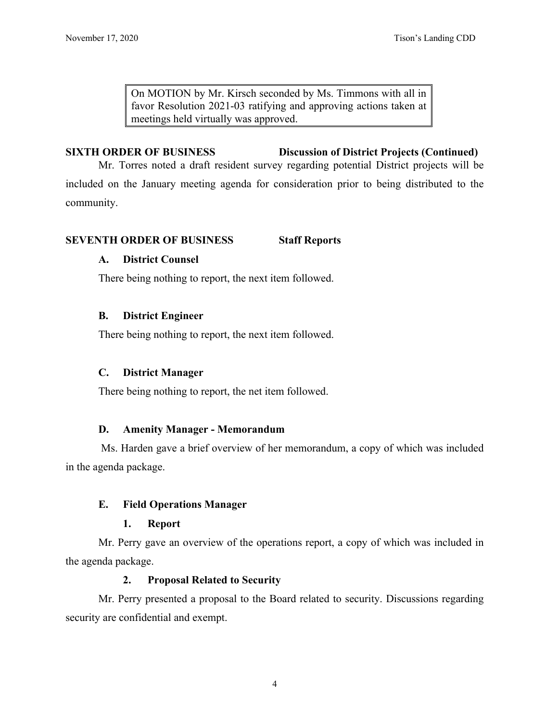On MOTION by Mr. Kirsch seconded by Ms. Timmons with all in favor Resolution 2021-03 ratifying and approving actions taken at meetings held virtually was approved.

## **SIXTH ORDER OF BUSINESS Discussion of District Projects (Continued)**

Mr. Torres noted a draft resident survey regarding potential District projects will be included on the January meeting agenda for consideration prior to being distributed to the community.

## **SEVENTH ORDER OF BUSINESS Staff Reports**

## **A. District Counsel**

There being nothing to report, the next item followed.

## **B. District Engineer**

There being nothing to report, the next item followed.

## **C. District Manager**

There being nothing to report, the net item followed.

#### **D. Amenity Manager - Memorandum**

Ms. Harden gave a brief overview of her memorandum, a copy of which was included in the agenda package.

## **E. Field Operations Manager**

#### **1. Report**

Mr. Perry gave an overview of the operations report, a copy of which was included in the agenda package.

#### **2. Proposal Related to Security**

Mr. Perry presented a proposal to the Board related to security. Discussions regarding security are confidential and exempt.